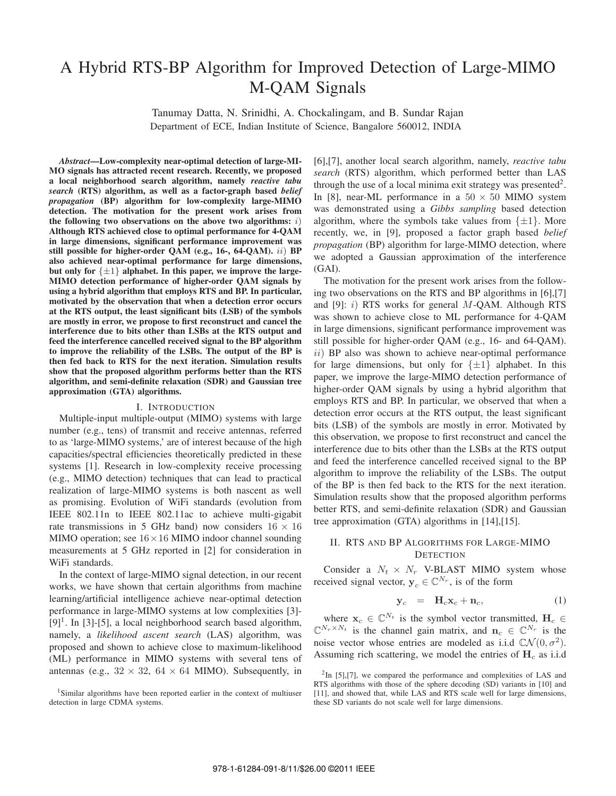# A Hybrid RTS-BP Algorithm for Improved Detection of Large-MIMO M-QAM Signals

Tanumay Datta, N. Srinidhi, A. Chockalingam, and B. Sundar Rajan Department of ECE, Indian Institute of Science, Bangalore 560012, INDIA

*Abstract***—Low-complexity near-optimal detection of large-MI-MO signals has attracted recent research. Recently, we proposed a local neighborhood search algorithm, namely** *reactive tabu search* **(RTS) algorithm, as well as a factor-graph based** *belief propagation* **(BP) algorithm for low-complexity large-MIMO detection. The motivation for the present work arises from** the following two observations on the above two algorithms:  $i$ ) **Although RTS achieved close to optimal performance for 4-QAM in large dimensions, significant performance improvement was** still possible for higher-order QAM (e.g., 16-, 64-QAM). *ii*) BP **also achieved near-optimal performance for large dimensions, but only for** {±1} **alphabet. In this paper, we improve the large-MIMO detection performance of higher-order QAM signals by using a hybrid algorithm that employs RTS and BP. In particular, motivated by the observation that when a detection error occurs at the RTS output, the least significant bits (LSB) of the symbols are mostly in error, we propose to first reconstruct and cancel the interference due to bits other than LSBs at the RTS output and feed the interference cancelled received signal to the BP algorithm to improve the reliability of the LSBs. The output of the BP is then fed back to RTS for the next iteration. Simulation results show that the proposed algorithm performs better than the RTS algorithm, and semi-definite relaxation (SDR) and Gaussian tree approximation (GTA) algorithms.**

#### I. INTRODUCTION

Multiple-input multiple-output (MIMO) systems with large number (e.g., tens) of transmit and receive antennas, referred to as 'large-MIMO systems,' are of interest because of the high capacities/spectral efficiencies theoretically predicted in these systems [1]. Research in low-complexity receive processing (e.g., MIMO detection) techniques that can lead to practical realization of large-MIMO systems is both nascent as well as promising. Evolution of WiFi standards (evolution from IEEE 802.11n to IEEE 802.11ac to achieve multi-gigabit rate transmissions in 5 GHz band) now considers  $16 \times 16$ MIMO operation; see  $16 \times 16$  MIMO indoor channel sounding measurements at 5 GHz reported in [2] for consideration in WiFi standards.

In the context of large-MIMO signal detection, in our recent works, we have shown that certain algorithms from machine learning/artificial intelligence achieve near-optimal detection performance in large-MIMO systems at low complexities [3]-  $[9]$ <sup>1</sup>. In [3]-[5], a local neighborhood search based algorithm, namely, a *likelihood ascent search* (LAS) algorithm, was proposed and shown to achieve close to maximum-likelihood (ML) performance in MIMO systems with several tens of antennas (e.g.,  $32 \times 32$ ,  $64 \times 64$  MIMO). Subsequently, in [6],[7], another local search algorithm, namely, *reactive tabu search* (RTS) algorithm, which performed better than LAS through the use of a local minima exit strategy was presented  $\ell$ . In [8], near-ML performance in a  $50 \times 50$  MIMO system was demonstrated using a *Gibbs sampling* based detection algorithm, where the symbols take values from  $\{\pm 1\}$ . More recently, we, in [9], proposed a factor graph based *belief propagation* (BP) algorithm for large-MIMO detection, where we adopted a Gaussian approximation of the interference (GAI).

The motivation for the present work arises from the following two observations on the RTS and BP algorithms in [6],[7] and [9]:  $i$ ) RTS works for general M-QAM. Although RTS was shown to achieve close to ML performance for 4-QAM in large dimensions, significant performance improvement was still possible for higher-order QAM (e.g., 16- and 64-QAM).  $ii)$  BP also was shown to achieve near-optimal performance for large dimensions, but only for  $\{\pm 1\}$  alphabet. In this paper, we improve the large-MIMO detection performance of higher-order QAM signals by using a hybrid algorithm that employs RTS and BP. In particular, we observed that when a detection error occurs at the RTS output, the least significant bits (LSB) of the symbols are mostly in error. Motivated by this observation, we propose to first reconstruct and cancel the interference due to bits other than the LSBs at the RTS output and feed the interference cancelled received signal to the BP algorithm to improve the reliability of the LSBs. The output of the BP is then fed back to the RTS for the next iteration. Simulation results show that the proposed algorithm performs better RTS, and semi-definite relaxation (SDR) and Gaussian tree approximation (GTA) algorithms in [14],[15].

## II. RTS AND BP ALGORITHMS FOR LARGE-MIMO **DETECTION**

Consider a  $N_t \times N_r$  V-BLAST MIMO system whose received signal vector,  $y_c \in \mathbb{C}^{N_r}$ , is of the form

$$
\mathbf{y}_c = \mathbf{H}_c \mathbf{x}_c + \mathbf{n}_c, \tag{1}
$$

where  $\mathbf{x}_c \in \mathbb{C}^{N_t}$  is the symbol vector transmitted,  $\mathbf{H}_c \in$  $\mathbb{C}^{N_r \times N_t}$  is the channel gain matrix, and  $\mathbf{n}_c \in \mathbb{C}^{N_r}$  is the noise vector whose entries are modeled as i.i.d  $\mathbb{C}\mathcal{N}(0, \sigma^2)$ . Assuming rich scattering, we model the entries of  $H<sub>c</sub>$  as i.i.d

<sup>&</sup>lt;sup>1</sup>Similar algorithms have been reported earlier in the context of multiuser detection in large CDMA systems.

 $2$ In [5],[7], we compared the performance and complexities of LAS and RTS algorithms with those of the sphere decoding (SD) variants in [10] and [11], and showed that, while LAS and RTS scale well for large dimensions, these SD variants do not scale well for large dimensions.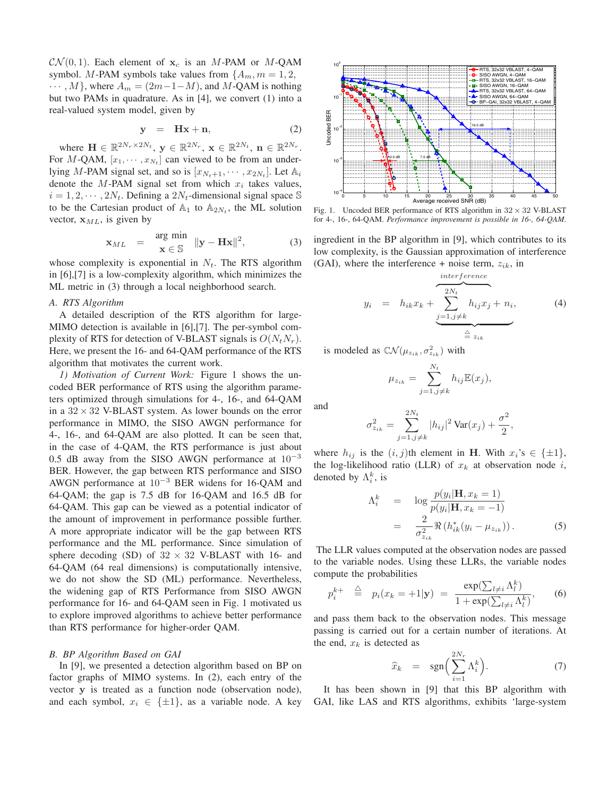$\mathcal{CN}(0, 1)$ . Each element of  $\mathbf{x}_c$  is an M-PAM or M-QAM symbol. M-PAM symbols take values from  $\{A_m, m = 1, 2, \}$  $\cdots$ , M, where  $A_m = (2m-1-M)$ , and M-QAM is nothing but two PAMs in quadrature. As in [4], we convert (1) into a real-valued system model, given by

$$
y = Hx + n, \tag{2}
$$

where  $\mathbf{H} \in \mathbb{R}^{2N_r \times 2N_t}$ ,  $\mathbf{y} \in \mathbb{R}^{2N_r}$ ,  $\mathbf{x} \in \mathbb{R}^{2N_t}$ ,  $\mathbf{n} \in \mathbb{R}^{2N_r}$ . For M-QAM,  $[x_1, \dots, x_{N_t}]$  can viewed to be from an underlying M-PAM signal set, and so is  $[x_{N_t+1}, \cdots, x_{2N_t}].$  Let  $\mathbb{A}_i$ denote the  $M$ -PAM signal set from which  $x_i$  takes values,  $i = 1, 2, \cdots, 2N_t$ . Defining a  $2N_t$ -dimensional signal space S to be the Cartesian product of  $\mathbb{A}_1$  to  $\mathbb{A}_{2N_t}$ , the ML solution vector,  $x_{ML}$ , is given by

$$
\mathbf{x}_{ML} = \begin{cases} \n\arg \min \\ \n\mathbf{x} \in \mathbb{S} \n\end{cases} \|\mathbf{y} - \mathbf{H}\mathbf{x}\|^2, \tag{3}
$$

whose complexity is exponential in  $N_t$ . The RTS algorithm in [6],[7] is a low-complexity algorithm, which minimizes the ML metric in (3) through a local neighborhood search.

## *A. RTS Algorithm*

A detailed description of the RTS algorithm for large-MIMO detection is available in [6],[7]. The per-symbol complexity of RTS for detection of V-BLAST signals is  $O(N_tN_r)$ . Here, we present the 16- and 64-QAM performance of the RTS algorithm that motivates the current work.

*1) Motivation of Current Work:* Figure 1 shows the uncoded BER performance of RTS using the algorithm parameters optimized through simulations for 4-, 16-, and 64-QAM in a  $32 \times 32$  V-BLAST system. As lower bounds on the error performance in MIMO, the SISO AWGN performance for 4-, 16-, and 64-QAM are also plotted. It can be seen that, in the case of 4-QAM, the RTS performance is just about 0.5 dB away from the SISO AWGN performance at  $10^{-3}$ BER. However, the gap between RTS performance and SISO AWGN performance at  $10^{-3}$  BER widens for 16-QAM and 64-QAM; the gap is 7.5 dB for 16-QAM and 16.5 dB for 64-QAM. This gap can be viewed as a potential indicator of the amount of improvement in performance possible further. A more appropriate indicator will be the gap between RTS performance and the ML performance. Since simulation of sphere decoding (SD) of  $32 \times 32$  V-BLAST with 16- and 64-QAM (64 real dimensions) is computationally intensive, we do not show the SD (ML) performance. Nevertheless, the widening gap of RTS Performance from SISO AWGN performance for 16- and 64-QAM seen in Fig. 1 motivated us to explore improved algorithms to achieve better performance than RTS performance for higher-order QAM.

#### *B. BP Algorithm Based on GAI*

In [9], we presented a detection algorithm based on BP on factor graphs of MIMO systems. In (2), each entry of the vector **y** is treated as a function node (observation node), and each symbol,  $x_i \in {\pm 1}$ , as a variable node. A key



Fig. 1. Uncoded BER performance of RTS algorithm in  $32 \times 32$  V-BLAST for 4-, 16-, 64-QAM. *Performance improvement is possible in 16-, 64-QAM*.

ingredient in the BP algorithm in [9], which contributes to its low complexity, is the Gaussian approximation of interference (GAI), where the interference + noise term,  $z_{ik}$ , in

$$
y_i = h_{ik}x_k + \underbrace{\sum_{j=1, j \neq k}^{interference} h_{ij}x_j + n_i}_{\stackrel{\triangle}{=} z_{ik}}, \tag{4}
$$

is modeled as  $\mathbb{C}\mathcal{N}(\mu_{z_{ik}}, \sigma^2_{z_{ik}})$  with

$$
\mu_{z_{ik}} = \sum_{j=1, j \neq k}^{N_t} h_{ij} \mathbb{E}(x_j),
$$

and

$$
\sigma_{z_{ik}}^2 = \sum_{j=1, j \neq k}^{2N_t} |h_{ij}|^2 \operatorname{Var}(x_j) + \frac{\sigma^2}{2},
$$

where  $h_{ij}$  is the  $(i, j)$ th element in **H**. With  $x_i$ 's  $\in \{\pm 1\}$ , the log-likelihood ratio (LLR) of  $x_k$  at observation node i, denoted by  $\Lambda_i^k$ , is

$$
\Lambda_i^k = \log \frac{p(y_i|\mathbf{H}, x_k = 1)}{p(y_i|\mathbf{H}, x_k = -1)}
$$
  
= 
$$
\frac{2}{\sigma_{z_{ik}}^2} \Re (h_{ik}^*(y_i - \mu_{z_{ik}})).
$$
 (5)

The LLR values computed at the observation nodes are passed to the variable nodes. Using these LLRs, the variable nodes compute the probabilities

$$
p_i^{k+} \triangleq p_i(x_k = +1|\mathbf{y}) = \frac{\exp(\sum_{l\neq i} \Lambda_l^k)}{1 + \exp(\sum_{l\neq i} \Lambda_l^k)},
$$
 (6)

and pass them back to the observation nodes. This message passing is carried out for a certain number of iterations. At the end,  $x_k$  is detected as

$$
\widehat{x}_k = \operatorname{sgn}\left(\sum_{i=1}^{2N_r} \Lambda_i^k\right). \tag{7}
$$

It has been shown in [9] that this BP algorithm with GAI, like LAS and RTS algorithms, exhibits 'large-system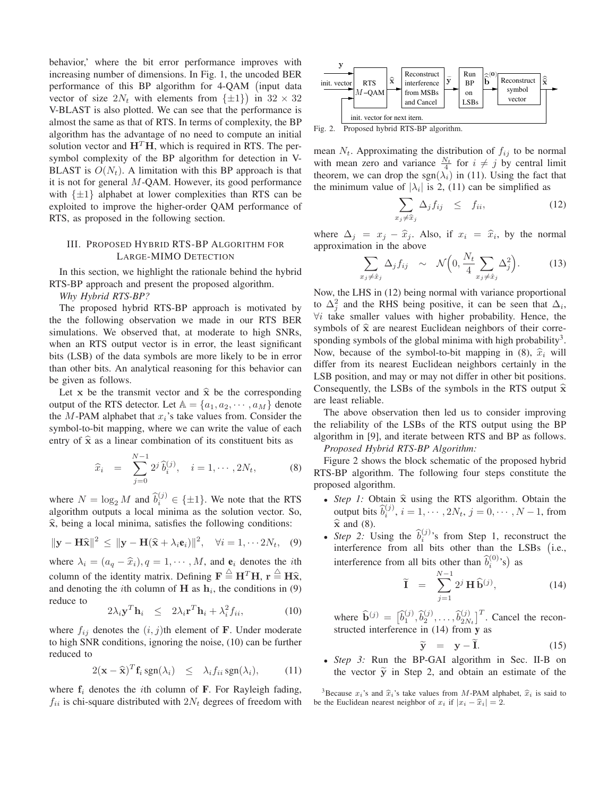behavior,' where the bit error performance improves with increasing number of dimensions. In Fig. 1, the uncoded BER performance of this BP algorithm for 4-QAM ( input data vector of size  $2N_t$  with elements from  $\{\pm 1\}$  in  $32 \times 32$ V-BLAST is also plotted. We can see that the performance is almost the same as that of RTS. In terms of complexity, the BP algorithm has the advantage of no need to compute an initial solution vector and  $H<sup>T</sup>H$ , which is required in RTS. The persymbol complexity of the BP algorithm for detection in V-BLAST is  $O(N_t)$ . A limitation with this BP approach is that it is not for general  $M$ -QAM. However, its good performance with  $\{\pm 1\}$  alphabet at lower complexities than RTS can be exploited to improve the higher-order QAM performance of RTS, as proposed in the following section.

## III. PROPOSED HYBRID RTS-BP ALGORITHM FOR LARGE-MIMO DETECTION

In this section, we highlight the rationale behind the hybrid RTS-BP approach and present the proposed algorithm.

### *Why Hybrid RTS-BP?*

The proposed hybrid RTS-BP approach is motivated by the the following observation we made in our RTS BER simulations. We observed that, at moderate to high SNRs, when an RTS output vector is in error, the least significant bits (LSB) of the data symbols are more likely to be in error than other bits. An analytical reasoning for this behavior can be given as follows.

Let **x** be the transmit vector and  $\hat{\mathbf{x}}$  be the corresponding output of the RTS detector. Let  $\mathbb{A} = \{a_1, a_2, \cdots, a_M\}$  denote the  $M$ -PAM alphabet that  $x_i$ 's take values from. Consider the symbol-to-bit mapping, where we can write the value of each entry of  $\hat{x}$  as a linear combination of its constituent bits as

$$
\widehat{x}_i = \sum_{j=0}^{N-1} 2^j \,\widehat{b}_i^{(j)}, \quad i = 1, \cdots, 2N_t, \tag{8}
$$

where  $N = \log_2 M$  and  $\hat{b}_i^{(j)} \in \{\pm 1\}$ . We note that the RTS algorithm outputs a local minima as the solution vector. So,  $\hat{x}$ , being a local minima, satisfies the following conditions:

$$
\|\mathbf{y} - \mathbf{H}\widehat{\mathbf{x}}\|^2 \le \|\mathbf{y} - \mathbf{H}(\widehat{\mathbf{x}} + \lambda_i \mathbf{e}_i)\|^2, \quad \forall i = 1, \cdots 2N_t, \quad (9)
$$

where  $\lambda_i = (a_q - \hat{x}_i), q = 1, \dots, M$ , and  $\mathbf{e}_i$  denotes the *i*th column of the identity matrix. Defining  $\mathbf{F} \stackrel{\triangle}{=} \mathbf{H}^T \mathbf{H}$ ,  $\mathbf{r} \stackrel{\triangle}{=} \mathbf{H} \hat{\mathbf{x}}$ , and denoting the *i*th column of **H** as  $h_i$ , the conditions in (9) reduce to

$$
2\lambda_i \mathbf{y}^T \mathbf{h}_i \leq 2\lambda_i \mathbf{r}^T \mathbf{h}_i + \lambda_i^2 f_{ii}, \tag{10}
$$

where  $f_{ij}$  denotes the  $(i, j)$ th element of **F**. Under moderate to high SNR conditions, ignoring the noise, (10) can be further reduced to

$$
2(\mathbf{x} - \widehat{\mathbf{x}})^T \mathbf{f}_i \operatorname{sgn}(\lambda_i) \leq \lambda_i f_{ii} \operatorname{sgn}(\lambda_i), \qquad (11)
$$

where  $f_i$  denotes the *i*th column of  $F$ . For Rayleigh fading,  $f_{ii}$  is chi-square distributed with  $2N_t$  degrees of freedom with



Fig. 2. Proposed hybrid RTS-BP algorithm.

mean  $N_t$ . Approximating the distribution of  $f_{ij}$  to be normal with mean zero and variance  $\frac{N_t}{r+1}$  for  $i \neq j$  by central limit theorem, we can drop the sgn( $\lambda_i$ ) in (11). Using the fact that the minimum value of  $|\lambda_i|$  is 2, (11) can be simplified as

$$
\sum_{x_j \neq \widehat{x}_j} \Delta_j f_{ij} \leq f_{ii}, \tag{12}
$$

where  $\Delta_j = x_j - \hat{x}_j$ . Also, if  $x_i = \hat{x}_i$ , by the normal approximation in the above  $\overline{\mathbf{M}}$ 

$$
\sum_{x_j \neq \hat{x}_j} \Delta_j f_{ij} \sim \mathcal{N}\Big(0, \frac{N_t}{4} \sum_{x_j \neq \hat{x}_j} \Delta_j^2\Big). \tag{13}
$$

Now, the LHS in (12) being normal with variance proportional to  $\Delta_j^2$  and the RHS being positive, it can be seen that  $\Delta_i$ ,  $\forall i$  take smaller values with higher probability. Hence, the symbols of  $\hat{x}$  are nearest Euclidean neighbors of their corresponding symbols of the global minima with high probability<sup>3</sup>. Now, because of the symbol-to-bit mapping in (8),  $\hat{x}_i$  will differ from its nearest Euclidean neighbors certainly in the LSB position, and may or may not differ in other bit positions. Consequently, the LSBs of the symbols in the RTS output  $\hat{x}$ are least reliable.

The above observation then led us to consider improving the reliability of the LSBs of the RTS output using the BP algorithm in [9], and iterate between RTS and BP as follows. *Proposed Hybrid RTS-BP Algorithm:*

Figure 2 shows the block schematic of the proposed hybrid RTS-BP algorithm. The following four steps constitute the proposed algorithm.

- <sup>∙</sup> *Step 1:* Obtain **<sup>x</sup>**<sup>ˆ</sup> using the RTS algorithm. Obtain the output bits  $\hat{b}_i^{(j)}$ ,  $i = 1, \dots, 2N_t$ ,  $j = 0, \dots, N-1$ , from **<sup>x</sup>**<sup>ˆ</sup> and (8).
- *Step 2:* Using the  $\hat{b}_i^{(j)}$ 's from Step 1, reconstruct the interference from all bits other than the LSBs ( i.e., interference from all bits other than  $\hat{b}_i^{(0)}$ 's) as

$$
\widetilde{\mathbf{I}} = \sum_{j=1}^{N-1} 2^j \, \mathbf{H} \, \widehat{\mathbf{b}}^{(j)}, \tag{14}
$$

where  $\hat{\mathbf{b}}^{(j)} = [\hat{b}_1^{(j)}, \hat{b}_2^{(j)}, \dots, \hat{b}_{2N}^{(j)}]$  $\binom{(j)}{2N_t}^T$ . Cancel the reconstructed interference in (14) from **y** as

$$
\widetilde{\mathbf{y}} = \mathbf{y} - \widetilde{\mathbf{I}}.\tag{15}
$$

<sup>∙</sup> *Step 3:* Run the BP-GAI algorithm in Sec. II-B on the vector  $\tilde{y}$  in Step 2, and obtain an estimate of the <sup>3</sup>Because  $x_i$ 's and  $\hat{x}_i$ 's take values from *M*-PAM alphabet,  $\hat{x}_i$  is said to

<sup>3</sup>Because  $x_i$ 's and  $\hat{x}_i$ 's take values from *M*-PAM alphabet,  $\hat{x}_i$  is said to be the Euclidean nearest neighbor of  $x_i$  if  $|x_i - \hat{x}_i| = 2$ .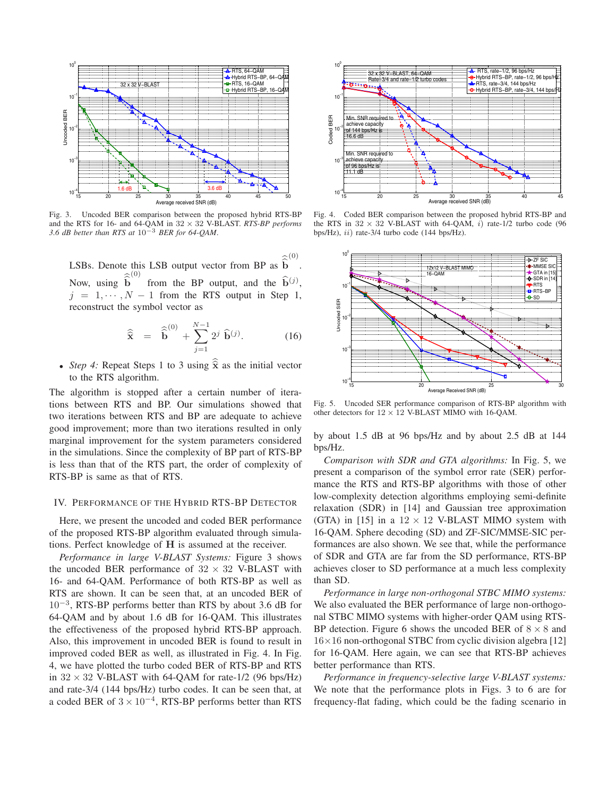

Fig. 3. Uncoded BER comparison between the proposed hybrid RTS-BP and the RTS for 16- and 64-QAM in 32 × 32 V-BLAST. *RTS-BP performs 3.6 dB better than RTS at* 10−<sup>3</sup> *BER for 64-QAM*.

LSBs. Denote this LSB output vector from BP as  $\hat{b}$  $\hat{\mathbf{z}}^{(0)}$ . Now, using **b**  $\sim (0)$ from the BP output, and the  $\hat{\mathbf{b}}^{(j)}$ ,  $j = 1, \dots, N - 1$  from the RTS output in Step 1, reconstruct the symbol vector as

$$
\widehat{\hat{\mathbf{x}}} = \widehat{\hat{\mathbf{b}}}^{(0)} + \sum_{j=1}^{N-1} 2^{j} \widehat{\mathbf{b}}^{(j)}.
$$
 (16)

• *Step 4:* Repeat Steps 1 to 3 using  $\hat{\mathbf{x}}$  as the initial vector to the RTS algorithm.

The algorithm is stopped after a certain number of iterations between RTS and BP. Our simulations showed that two iterations between RTS and BP are adequate to achieve good improvement; more than two iterations resulted in only marginal improvement for the system parameters considered in the simulations. Since the complexity of BP part of RTS-BP is less than that of the RTS part, the order of complexity of RTS-BP is same as that of RTS.

## IV. PERFORMANCE OF THE HYBRID RTS-BP DETECTOR

Here, we present the uncoded and coded BER performance of the proposed RTS-BP algorithm evaluated through simulations. Perfect knowledge of **H** is assumed at the receiver.

*Performance in large V-BLAST Systems:* Figure 3 shows the uncoded BER performance of  $32 \times 32$  V-BLAST with 16- and 64-QAM. Performance of both RTS-BP as well as RTS are shown. It can be seen that, at an uncoded BER of  $10^{-3}$ , RTS-BP performs better than RTS by about 3.6 dB for 64-QAM and by about 1.6 dB for 16-QAM. This illustrates the effectiveness of the proposed hybrid RTS-BP approach. Also, this improvement in uncoded BER is found to result in improved coded BER as well, as illustrated in Fig. 4. In Fig. 4, we have plotted the turbo coded BER of RTS-BP and RTS in  $32 \times 32$  V-BLAST with 64-QAM for rate-1/2 (96 bps/Hz) and rate-3/4 (144 bps/Hz) turbo codes. It can be seen that, at a coded BER of  $3 \times 10^{-4}$ , RTS-BP performs better than RTS



Fig. 4. Coded BER comparison between the proposed hybrid RTS-BP and the RTS in  $32 \times 32$  V-BLAST with 64-OAM, i) rate-1/2 turbo code (96) bps/Hz),  $ii$  rate-3/4 turbo code (144 bps/Hz).



Fig. 5. Uncoded SER performance comparison of RTS-BP algorithm with other detectors for  $12 \times 12$  V-BLAST MIMO with 16-QAM.

by about 1.5 dB at 96 bps/Hz and by about 2.5 dB at 144 bps/Hz.

*Comparison with SDR and GTA algorithms:* In Fig. 5, we present a comparison of the symbol error rate (SER) performance the RTS and RTS-BP algorithms with those of other low-complexity detection algorithms employing semi-definite relaxation (SDR) in [14] and Gaussian tree approximation (GTA) in [15] in a  $12 \times 12$  V-BLAST MIMO system with 16-QAM. Sphere decoding (SD) and ZF-SIC/MMSE-SIC performances are also shown. We see that, while the performance of SDR and GTA are far from the SD performance, RTS-BP achieves closer to SD performance at a much less complexity than SD.

*Performance in large non-orthogonal STBC MIMO systems:* We also evaluated the BER performance of large non-orthogonal STBC MIMO systems with higher-order QAM using RTS-BP detection. Figure 6 shows the uncoded BER of  $8 \times 8$  and  $16\times16$  non-orthogonal STBC from cyclic division algebra [12] for 16-QAM. Here again, we can see that RTS-BP achieves better performance than RTS.

*Performance in frequency-selective large V-BLAST systems:* We note that the performance plots in Figs. 3 to 6 are for frequency-flat fading, which could be the fading scenario in